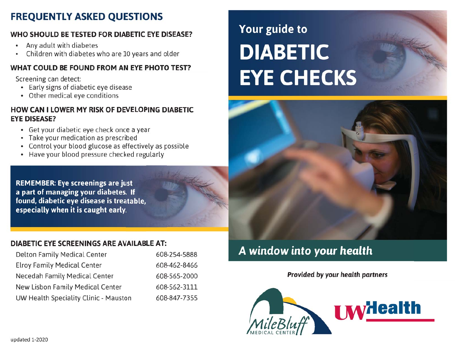## **FREQUENTLY ASKED QUESTIONS**

### WHO SHOULD BE TESTED FOR DIABETIC EYE DISEASE?

- Any adult with diabetes  $\bullet$
- Children with diabetes who are 10 years and older

#### WHAT COULD BE FOUND FROM AN EYE PHOTO TEST?

Screening can detect:

- Early signs of diabetic eye disease
- Other medical eye conditions

#### HOW CAN I LOWER MY RISK OF DEVELOPING DIABETIC **EYE DISEASE?**

- Get your diabetic eye check once a year
- Take your medication as prescribed
- Control your blood glucose as effectively as possible
- Have your blood pressure checked regularly

**REMEMBER: Eye screenings are just** a part of managing your diabetes. If found, diabetic eye disease is treatable, especially when it is caught early.

# Your guide to **DIABETIC EYE CHECKS**

#### **DIABETIC EYE SCREENINGS ARE AVAILABLE AT:**

| <b>Delton Family Medical Center</b>   | 608-254-5888 |
|---------------------------------------|--------------|
| <b>Elroy Family Medical Center</b>    | 608-462-8466 |
| <b>Necedah Family Medical Center</b>  | 608-565-2000 |
| New Lisbon Family Medical Center      | 608-562-3111 |
| UW Health Speciality Clinic - Mauston | 608-847-7355 |

# A window into your health

**Provided by your health partners**